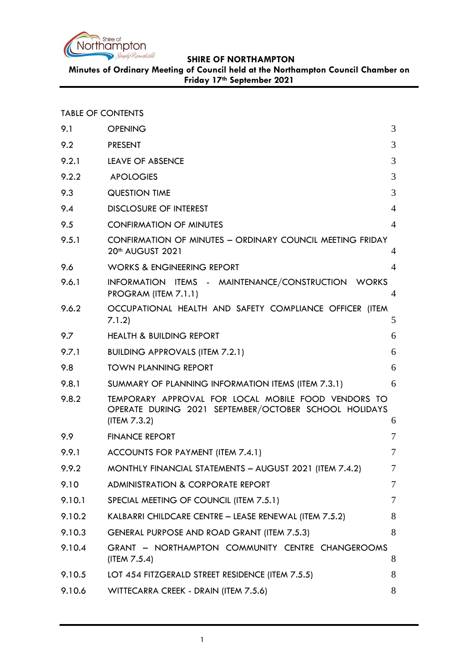

**Minutes of Ordinary Meeting of Council held at the Northampton Council Chamber on Friday 17th September 2021**

TABLE OF CONTENTS

| 9.1    | <b>OPENING</b>                                                                                                               | 3              |
|--------|------------------------------------------------------------------------------------------------------------------------------|----------------|
| 9.2    | <b>PRESENT</b>                                                                                                               | 3              |
| 9.2.1  | <b>LEAVE OF ABSENCE</b>                                                                                                      | 3              |
| 9.2.2  | <b>APOLOGIES</b>                                                                                                             | 3              |
| 9.3    | <b>QUESTION TIME</b>                                                                                                         | 3              |
| 9.4    | <b>DISCLOSURE OF INTEREST</b>                                                                                                | $\overline{4}$ |
| 9.5    | <b>CONFIRMATION OF MINUTES</b>                                                                                               | $\overline{4}$ |
| 9.5.1  | CONFIRMATION OF MINUTES - ORDINARY COUNCIL MEETING FRIDAY<br>20 <sup>th</sup> AUGUST 2021                                    | 4              |
| 9.6    | <b>WORKS &amp; ENGINEERING REPORT</b>                                                                                        | 4              |
| 9.6.1  | INFORMATION ITEMS - MAINTENANCE/CONSTRUCTION WORKS<br>PROGRAM (ITEM 7.1.1)                                                   | $\overline{4}$ |
| 9.6.2  | OCCUPATIONAL HEALTH AND SAFETY COMPLIANCE OFFICER (ITEM<br>7.1.2)                                                            | 5              |
| 9.7    | <b>HEALTH &amp; BUILDING REPORT</b>                                                                                          | 6              |
| 9.7.1  | <b>BUILDING APPROVALS (ITEM 7.2.1)</b>                                                                                       | 6              |
| 9.8    | <b>TOWN PLANNING REPORT</b>                                                                                                  | 6              |
| 9.8.1  | SUMMARY OF PLANNING INFORMATION ITEMS (ITEM 7.3.1)                                                                           | 6              |
| 9.8.2  | TEMPORARY APPROVAL FOR LOCAL MOBILE FOOD VENDORS TO<br>OPERATE DURING 2021 SEPTEMBER/OCTOBER SCHOOL HOLIDAYS<br>(ITEM 7.3.2) | 6              |
| 9.9    | <b>FINANCE REPORT</b>                                                                                                        | 7              |
| 9.9.1  | ACCOUNTS FOR PAYMENT (ITEM 7.4.1)                                                                                            | $\tau$         |
| 9.9.2  | MONTHLY FINANCIAL STATEMENTS - AUGUST 2021 (ITEM 7.4.2)                                                                      | 7              |
| 9.10   | <b>ADMINISTRATION &amp; CORPORATE REPORT</b>                                                                                 | 7              |
| 9.10.1 | SPECIAL MEETING OF COUNCIL (ITEM 7.5.1)                                                                                      | 7              |
| 9.10.2 | KALBARRI CHILDCARE CENTRE - LEASE RENEWAL (ITEM 7.5.2)                                                                       | 8              |
| 9.10.3 | GENERAL PURPOSE AND ROAD GRANT (ITEM 7.5.3)                                                                                  | 8              |
| 9.10.4 | GRANT - NORTHAMPTON COMMUNITY CENTRE CHANGEROOMS<br>(ITEM $7.5.4$ )                                                          | 8              |
| 9.10.5 | LOT 454 FITZGERALD STREET RESIDENCE (ITEM 7.5.5)                                                                             | 8              |
| 9.10.6 | WITTECARRA CREEK - DRAIN (ITEM 7.5.6)                                                                                        | 8              |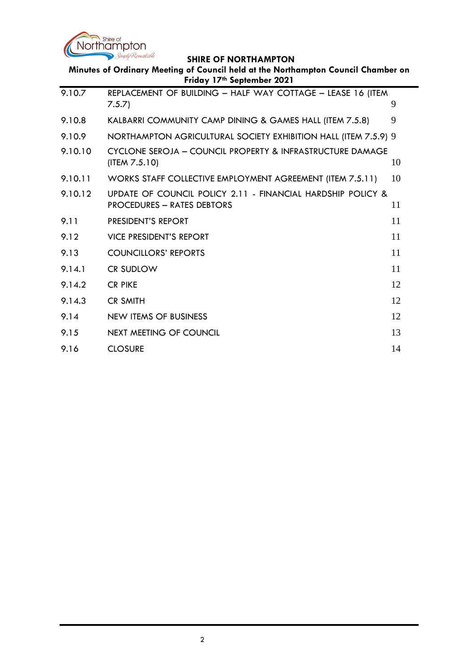

| Minutes of Ordinary Meeting of Council held at the Northampton Council Chamber on<br>Friday 17th September 2021 |                                                                                           |    |  |  |  |
|-----------------------------------------------------------------------------------------------------------------|-------------------------------------------------------------------------------------------|----|--|--|--|
| 9.10.7                                                                                                          | REPLACEMENT OF BUILDING - HALF WAY COTTAGE - LEASE 16 (ITEM<br>7.5.7                      | 9  |  |  |  |
| 9.10.8                                                                                                          | KALBARRI COMMUNITY CAMP DINING & GAMES HALL (ITEM 7.5.8)                                  | 9  |  |  |  |
| 9.10.9                                                                                                          | NORTHAMPTON AGRICULTURAL SOCIETY EXHIBITION HALL (ITEM 7.5.9) 9                           |    |  |  |  |
| 9.10.10                                                                                                         | CYCLONE SEROJA - COUNCIL PROPERTY & INFRASTRUCTURE DAMAGE<br>(ITER 7.5.10)                | 10 |  |  |  |
| 9.10.11                                                                                                         | WORKS STAFF COLLECTIVE EMPLOYMENT AGREEMENT (ITEM 7.5.11)                                 | 10 |  |  |  |
| 9.10.12                                                                                                         | UPDATE OF COUNCIL POLICY 2.11 - FINANCIAL HARDSHIP POLICY &<br>PROCEDURES - RATES DEBTORS | 11 |  |  |  |
| 9.11                                                                                                            | PRESIDENT'S REPORT                                                                        | 11 |  |  |  |
| 9.12                                                                                                            | <b>VICE PRESIDENT'S REPORT</b>                                                            | 11 |  |  |  |
| 9.13                                                                                                            | <b>COUNCILLORS' REPORTS</b>                                                               | 11 |  |  |  |
| 9.14.1                                                                                                          | <b>CR SUDLOW</b>                                                                          | 11 |  |  |  |
| 9.14.2                                                                                                          | <b>CR PIKE</b>                                                                            | 12 |  |  |  |
| 9.14.3                                                                                                          | <b>CR SMITH</b>                                                                           | 12 |  |  |  |
| 9.14                                                                                                            | <b>NEW ITEMS OF BUSINESS</b>                                                              | 12 |  |  |  |
| 9.15                                                                                                            | NEXT MEETING OF COUNCIL                                                                   | 13 |  |  |  |
| 9.16                                                                                                            | <b>CLOSURE</b>                                                                            | 14 |  |  |  |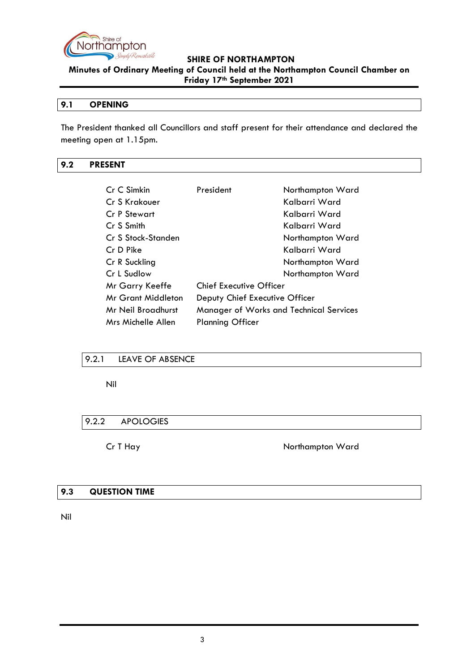

**Minutes of Ordinary Meeting of Council held at the Northampton Council Chamber on Friday 17th September 2021**

# <span id="page-2-0"></span>**9.1 OPENING**

The President thanked all Councillors and staff present for their attendance and declared the meeting open at 1.15pm.

# <span id="page-2-1"></span>**9.2 PRESENT**

| Cr C Simkin        | President                               | Northampton Ward |
|--------------------|-----------------------------------------|------------------|
| Cr S Krakouer      |                                         | Kalbarri Ward    |
| Cr P Stewart       |                                         | Kalbarri Ward    |
| Cr S Smith         |                                         | Kalbarri Ward    |
| Cr S Stock-Standen |                                         | Northampton Ward |
| Cr D Pike          |                                         | Kalbarri Ward    |
| Cr R Suckling      |                                         | Northampton Ward |
| Cr L Sudlow        |                                         | Northampton Ward |
| Mr Garry Keeffe    | <b>Chief Executive Officer</b>          |                  |
| Mr Grant Middleton | Deputy Chief Executive Officer          |                  |
| Mr Neil Broadhurst | Manager of Works and Technical Services |                  |
| Mrs Michelle Allen | <b>Planning Officer</b>                 |                  |

# <span id="page-2-2"></span>9.2.1 LEAVE OF ABSENCE

Nil

# <span id="page-2-3"></span>9.2.2 APOLOGIES

Cr T Hay Northampton Ward

#### <span id="page-2-4"></span>**9.3 QUESTION TIME**

Nil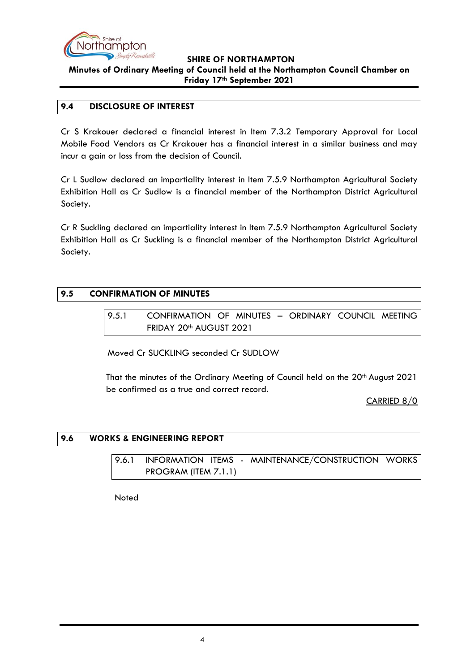

# **SHIRE OF NORTHAMPTON Minutes of Ordinary Meeting of Council held at the Northampton Council Chamber on**

**Friday 17th September 2021**

#### <span id="page-3-0"></span>**9.4 DISCLOSURE OF INTEREST**

Cr S Krakouer declared a financial interest in Item 7.3.2 Temporary Approval for Local Mobile Food Vendors as Cr Krakouer has a financial interest in a similar business and may incur a gain or loss from the decision of Council.

Cr L Sudlow declared an impartiality interest in Item 7.5.9 Northampton Agricultural Society Exhibition Hall as Cr Sudlow is a financial member of the Northampton District Agricultural Society.

Cr R Suckling declared an impartiality interest in Item 7.5.9 Northampton Agricultural Society Exhibition Hall as Cr Suckling is a financial member of the Northampton District Agricultural Society.

# <span id="page-3-2"></span><span id="page-3-1"></span>**9.5 CONFIRMATION OF MINUTES**

9.5.1 CONFIRMATION OF MINUTES – ORDINARY COUNCIL MEETING FRIDAY 20<sup>th</sup> AUGUST 2021

Moved Cr SUCKLING seconded Cr SUDLOW

That the minutes of the Ordinary Meeting of Council held on the 20<sup>th</sup> August 2021 be confirmed as a true and correct record.

CARRIED 8/0

# <span id="page-3-4"></span><span id="page-3-3"></span>**9.6 WORKS & ENGINEERING REPORT**

9.6.1 INFORMATION ITEMS - MAINTENANCE/CONSTRUCTION WORKS PROGRAM (ITEM 7.1.1)

**Noted**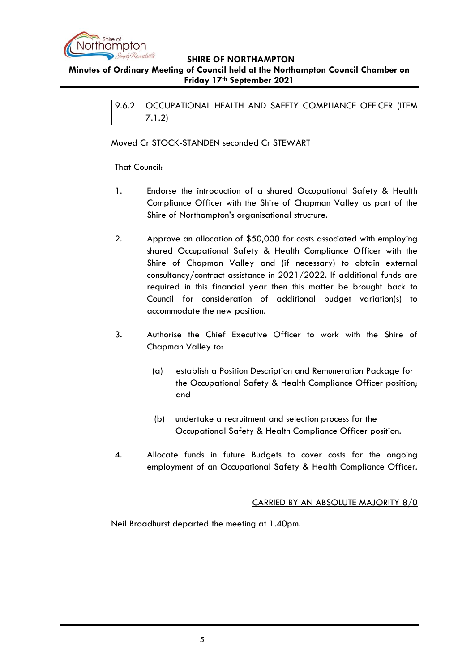

# <span id="page-4-0"></span>**Minutes of Ordinary Meeting of Council held at the Northampton Council Chamber on Friday 17th September 2021**

9.6.2 OCCUPATIONAL HEALTH AND SAFETY COMPLIANCE OFFICER (ITEM 7.1.2)

Moved Cr STOCK-STANDEN seconded Cr STEWART

That Council:

- 1. Endorse the introduction of a shared Occupational Safety & Health Compliance Officer with the Shire of Chapman Valley as part of the Shire of Northampton's organisational structure.
- 2. Approve an allocation of \$50,000 for costs associated with employing shared Occupational Safety & Health Compliance Officer with the Shire of Chapman Valley and (if necessary) to obtain external consultancy/contract assistance in 2021/2022. If additional funds are required in this financial year then this matter be brought back to Council for consideration of additional budget variation(s) to accommodate the new position.
- 3. Authorise the Chief Executive Officer to work with the Shire of Chapman Valley to:
	- (a) establish a Position Description and Remuneration Package for the Occupational Safety & Health Compliance Officer position; and
	- (b) undertake a recruitment and selection process for the Occupational Safety & Health Compliance Officer position.
- 4. Allocate funds in future Budgets to cover costs for the ongoing employment of an Occupational Safety & Health Compliance Officer.

# CARRIED BY AN ABSOLUTE MAJORITY 8/0

Neil Broadhurst departed the meeting at 1.40pm.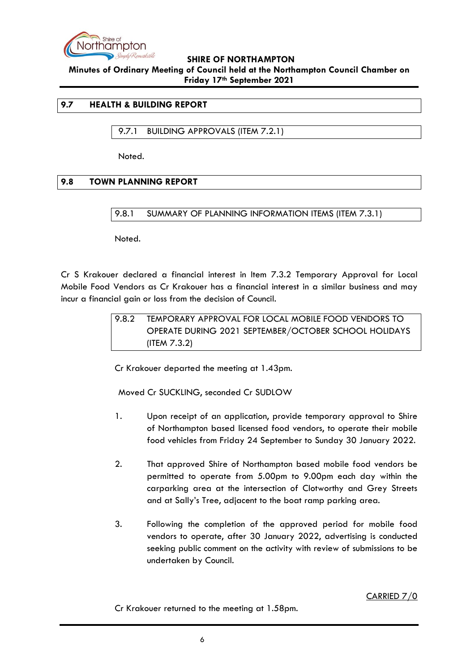

**Minutes of Ordinary Meeting of Council held at the Northampton Council Chamber on Friday 17th September 2021**

#### <span id="page-5-0"></span>**9.7 HEALTH & BUILDING REPORT**

<span id="page-5-1"></span>9.7.1 BUILDING APPROVALS (ITEM 7.2.1)

Noted.

# <span id="page-5-3"></span><span id="page-5-2"></span>**9.8 TOWN PLANNING REPORT**

9.8.1 SUMMARY OF PLANNING INFORMATION ITEMS (ITEM 7.3.1)

Noted.

<span id="page-5-4"></span>Cr S Krakouer declared a financial interest in Item 7.3.2 Temporary Approval for Local Mobile Food Vendors as Cr Krakouer has a financial interest in a similar business and may incur a financial gain or loss from the decision of Council.

9.8.2 TEMPORARY APPROVAL FOR LOCAL MOBILE FOOD VENDORS TO OPERATE DURING 2021 SEPTEMBER/OCTOBER SCHOOL HOLIDAYS (ITEM 7.3.2)

Cr Krakouer departed the meeting at 1.43pm.

Moved Cr SUCKLING, seconded Cr SUDLOW

- 1. Upon receipt of an application, provide temporary approval to Shire of Northampton based licensed food vendors, to operate their mobile food vehicles from Friday 24 September to Sunday 30 January 2022.
- 2. That approved Shire of Northampton based mobile food vendors be permitted to operate from 5.00pm to 9.00pm each day within the carparking area at the intersection of Clotworthy and Grey Streets and at Sally's Tree, adjacent to the boat ramp parking area.
- 3. Following the completion of the approved period for mobile food vendors to operate, after 30 January 2022, advertising is conducted seeking public comment on the activity with review of submissions to be undertaken by Council.

CARRIED 7/0

Cr Krakouer returned to the meeting at 1.58pm.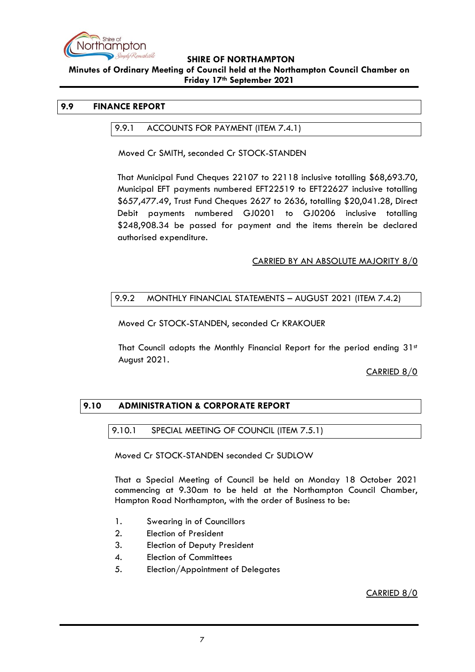

#### **Minutes of Ordinary Meeting of Council held at the Northampton Council Chamber on Friday 17th September 2021**

#### <span id="page-6-1"></span><span id="page-6-0"></span>**9.9 FINANCE REPORT**

#### 9.9.1 ACCOUNTS FOR PAYMENT (ITEM 7.4.1)

Moved Cr SMITH, seconded Cr STOCK-STANDEN

That Municipal Fund Cheques 22107 to 22118 inclusive totalling \$68,693.70, Municipal EFT payments numbered EFT22519 to EFT22627 inclusive totalling \$657,477.49, Trust Fund Cheques 2627 to 2636, totalling \$20,041.28, Direct Debit payments numbered GJ0201 to GJ0206 inclusive totalling \$248,908.34 be passed for payment and the items therein be declared authorised expenditure.

#### CARRIED BY AN ABSOLUTE MAJORITY 8/0

# <span id="page-6-2"></span>9.9.2 MONTHLY FINANCIAL STATEMENTS – AUGUST 2021 (ITEM 7.4.2)

Moved Cr STOCK-STANDEN, seconded Cr KRAKOUER

That Council adopts the Monthly Financial Report for the period ending  $31<sup>st</sup>$ August 2021.

#### CARRIED 8/0

# <span id="page-6-4"></span><span id="page-6-3"></span>**9.10 ADMINISTRATION & CORPORATE REPORT**

#### 9.10.1 SPECIAL MEETING OF COUNCIL (ITEM 7.5.1)

Moved Cr STOCK-STANDEN seconded Cr SUDLOW

That a Special Meeting of Council be held on Monday 18 October 2021 commencing at 9.30am to be held at the Northampton Council Chamber, Hampton Road Northampton, with the order of Business to be:

- 1. Swearing in of Councillors
- 2. Election of President
- 3. Election of Deputy President
- 4. Election of Committees
- 5. Election/Appointment of Delegates

CARRIED 8/0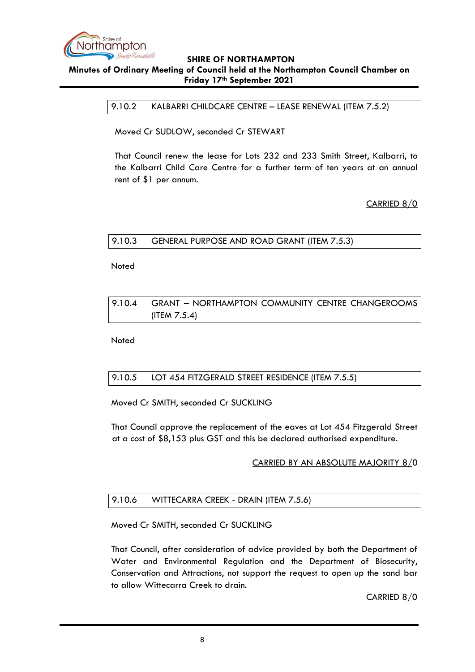

#### <span id="page-7-0"></span>**Minutes of Ordinary Meeting of Council held at the Northampton Council Chamber on Friday 17th September 2021**

9.10.2 KALBARRI CHILDCARE CENTRE – LEASE RENEWAL (ITEM 7.5.2)

Moved Cr SUDLOW, seconded Cr STEWART

That Council renew the lease for Lots 232 and 233 Smith Street, Kalbarri, to the Kalbarri Child Care Centre for a further term of ten years at an annual rent of \$1 per annum.

CARRIED 8/0

# <span id="page-7-1"></span>9.10.3 GENERAL PURPOSE AND ROAD GRANT (ITEM 7.5.3)

Noted

# <span id="page-7-2"></span>9.10.4 GRANT – NORTHAMPTON COMMUNITY CENTRE CHANGEROOMS (ITEM 7.5.4)

**Noted** 

# <span id="page-7-3"></span>9.10.5 LOT 454 FITZGERALD STREET RESIDENCE (ITEM 7.5.5)

Moved Cr SMITH, seconded Cr SUCKLING

That Council approve the replacement of the eaves at Lot 454 Fitzgerald Street at a cost of \$8,153 plus GST and this be declared authorised expenditure.

# CARRIED BY AN ABSOLUTE MAJORITY 8/0

# <span id="page-7-4"></span>9.10.6 WITTECARRA CREEK - DRAIN (ITEM 7.5.6)

Moved Cr SMITH, seconded Cr SUCKLING

That Council, after consideration of advice provided by both the Department of Water and Environmental Regulation and the Department of Biosecurity, Conservation and Attractions, not support the request to open up the sand bar to allow Wittecarra Creek to drain.

CARRIED 8/0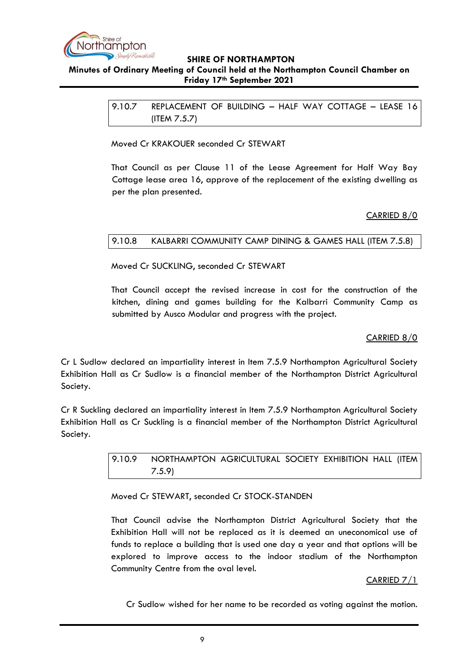

#### <span id="page-8-0"></span>**Minutes of Ordinary Meeting of Council held at the Northampton Council Chamber on Friday 17th September 2021**

9.10.7 REPLACEMENT OF BUILDING – HALF WAY COTTAGE – LEASE 16 (ITEM 7.5.7)

Moved Cr KRAKOUER seconded Cr STEWART

That Council as per Clause 11 of the Lease Agreement for Half Way Bay Cottage lease area 16, approve of the replacement of the existing dwelling as per the plan presented.

# CARRIED 8/0

# <span id="page-8-1"></span>9.10.8 KALBARRI COMMUNITY CAMP DINING & GAMES HALL (ITEM 7.5.8)

Moved Cr SUCKLING, seconded Cr STEWART

That Council accept the revised increase in cost for the construction of the kitchen, dining and games building for the Kalbarri Community Camp as submitted by Ausco Modular and progress with the project.

# CARRIED 8/0

Cr L Sudlow declared an impartiality interest in Item 7.5.9 Northampton Agricultural Society Exhibition Hall as Cr Sudlow is a financial member of the Northampton District Agricultural Society.

<span id="page-8-2"></span>Cr R Suckling declared an impartiality interest in Item 7.5.9 Northampton Agricultural Society Exhibition Hall as Cr Suckling is a financial member of the Northampton District Agricultural Society.

> 9.10.9 NORTHAMPTON AGRICULTURAL SOCIETY EXHIBITION HALL (ITEM 7.5.9)

Moved Cr STEWART, seconded Cr STOCK-STANDEN

That Council advise the Northampton District Agricultural Society that the Exhibition Hall will not be replaced as it is deemed an uneconomical use of funds to replace a building that is used one day a year and that options will be explored to improve access to the indoor stadium of the Northampton Community Centre from the oval level.

# CARRIED 7/1

Cr Sudlow wished for her name to be recorded as voting against the motion.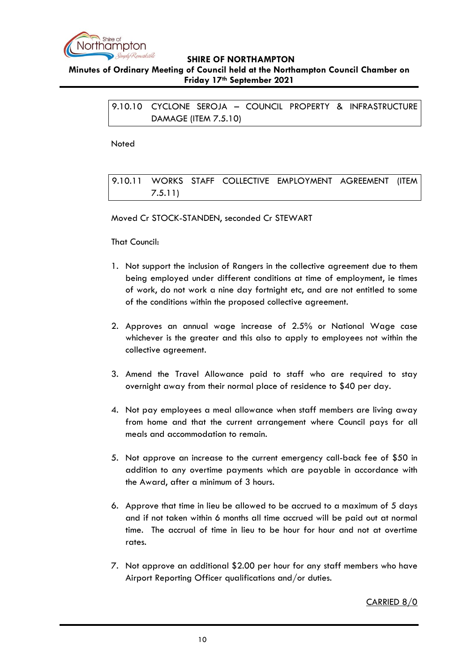

#### <span id="page-9-0"></span>**Minutes of Ordinary Meeting of Council held at the Northampton Council Chamber on Friday 17th September 2021**

9.10.10 CYCLONE SEROJA – COUNCIL PROPERTY & INFRASTRUCTURE DAMAGE (ITEM 7.5.10)

Noted

<span id="page-9-1"></span>9.10.11 WORKS STAFF COLLECTIVE EMPLOYMENT AGREEMENT (ITEM 7.5.11)

Moved Cr STOCK-STANDEN, seconded Cr STEWART

That Council:

- 1. Not support the inclusion of Rangers in the collective agreement due to them being employed under different conditions at time of employment, ie times of work, do not work a nine day fortnight etc, and are not entitled to some of the conditions within the proposed collective agreement.
- 2. Approves an annual wage increase of 2.5% or National Wage case whichever is the greater and this also to apply to employees not within the collective agreement.
- 3. Amend the Travel Allowance paid to staff who are required to stay overnight away from their normal place of residence to \$40 per day.
- 4. Not pay employees a meal allowance when staff members are living away from home and that the current arrangement where Council pays for all meals and accommodation to remain.
- 5. Not approve an increase to the current emergency call-back fee of \$50 in addition to any overtime payments which are payable in accordance with the Award, after a minimum of 3 hours.
- 6. Approve that time in lieu be allowed to be accrued to a maximum of 5 days and if not taken within 6 months all time accrued will be paid out at normal time. The accrual of time in lieu to be hour for hour and not at overtime rates.
- 7. Not approve an additional \$2.00 per hour for any staff members who have Airport Reporting Officer qualifications and/or duties.

CARRIED 8/0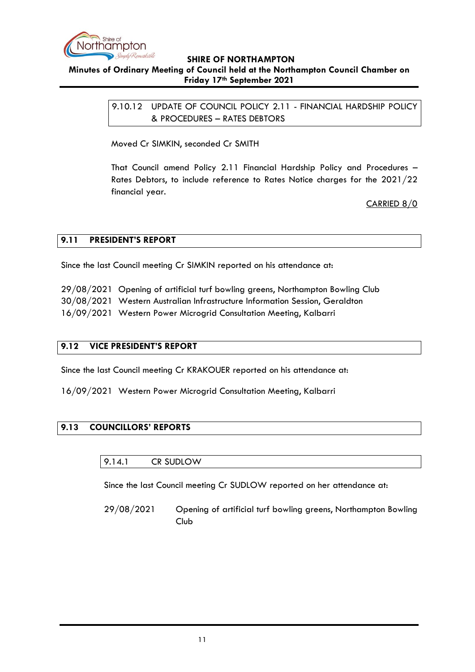

#### <span id="page-10-0"></span>**Minutes of Ordinary Meeting of Council held at the Northampton Council Chamber on Friday 17th September 2021**

9.10.12 UPDATE OF COUNCIL POLICY 2.11 - FINANCIAL HARDSHIP POLICY & PROCEDURES – RATES DEBTORS

Moved Cr SIMKIN, seconded Cr SMITH

That Council amend Policy 2.11 Financial Hardship Policy and Procedures – Rates Debtors, to include reference to Rates Notice charges for the 2021/22 financial year.

CARRIED 8/0

# <span id="page-10-1"></span>**9.11 PRESIDENT'S REPORT**

Since the last Council meeting Cr SIMKIN reported on his attendance at:

29/08/2021 Opening of artificial turf bowling greens, Northampton Bowling Club

30/08/2021 Western Australian Infrastructure Information Session, Geraldton

16/09/2021 Western Power Microgrid Consultation Meeting, Kalbarri

# <span id="page-10-2"></span>**9.12 VICE PRESIDENT'S REPORT**

Since the last Council meeting Cr KRAKOUER reported on his attendance at:

16/09/2021 Western Power Microgrid Consultation Meeting, Kalbarri

# <span id="page-10-4"></span><span id="page-10-3"></span>**9.13 COUNCILLORS' REPORTS**

9.14.1 CR SUDLOW

Since the last Council meeting Cr SUDLOW reported on her attendance at:

29/08/2021 Opening of artificial turf bowling greens, Northampton Bowling Club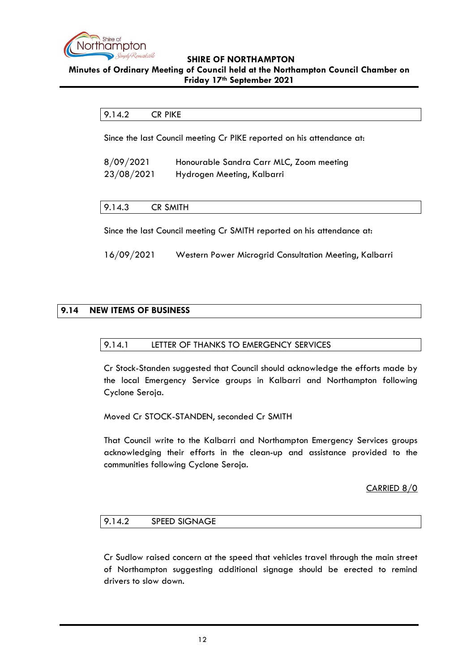

#### <span id="page-11-0"></span>**Minutes of Ordinary Meeting of Council held at the Northampton Council Chamber on Friday 17th September 2021**

# 9.14.2 CR PIKE

Since the last Council meeting Cr PIKE reported on his attendance at:

| 8/09/2021  | Honourable Sandra Carr MLC, Zoom meeting |
|------------|------------------------------------------|
| 23/08/2021 | Hydrogen Meeting, Kalbarri               |

#### <span id="page-11-1"></span>9.14.3 CR SMITH

Since the last Council meeting Cr SMITH reported on his attendance at:

16/09/2021 Western Power Microgrid Consultation Meeting, Kalbarri

# <span id="page-11-2"></span>**9.14 NEW ITEMS OF BUSINESS**

#### 9.14.1 LETTER OF THANKS TO EMERGENCY SERVICES

Cr Stock-Standen suggested that Council should acknowledge the efforts made by the local Emergency Service groups in Kalbarri and Northampton following Cyclone Seroja.

Moved Cr STOCK-STANDEN, seconded Cr SMITH

That Council write to the Kalbarri and Northampton Emergency Services groups acknowledging their efforts in the clean-up and assistance provided to the communities following Cyclone Seroja.

#### CARRIED 8/0

#### 9.14.2 SPEED SIGNAGE

Cr Sudlow raised concern at the speed that vehicles travel through the main street of Northampton suggesting additional signage should be erected to remind drivers to slow down.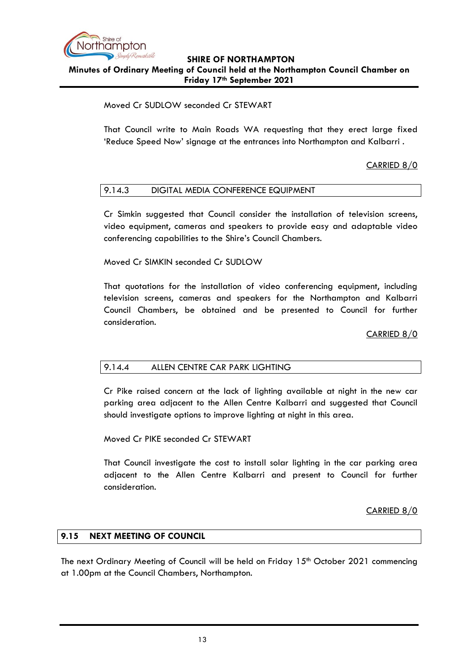

# **SHIRE OF NORTHAMPTON Minutes of Ordinary Meeting of Council held at the Northampton Council Chamber on Friday 17th September 2021**

# Moved Cr SUDLOW seconded Cr STEWART

That Council write to Main Roads WA requesting that they erect large fixed 'Reduce Speed Now' signage at the entrances into Northampton and Kalbarri .

# CARRIED 8/0

#### 9.14.3 DIGITAL MEDIA CONFERENCE EQUIPMENT

Cr Simkin suggested that Council consider the installation of television screens, video equipment, cameras and speakers to provide easy and adaptable video conferencing capabilities to the Shire's Council Chambers.

Moved Cr SIMKIN seconded Cr SUDLOW

That quotations for the installation of video conferencing equipment, including television screens, cameras and speakers for the Northampton and Kalbarri Council Chambers, be obtained and be presented to Council for further consideration.

CARRIED 8/0

# 9.14.4 ALLEN CENTRE CAR PARK LIGHTING

Cr Pike raised concern at the lack of lighting available at night in the new car parking area adjacent to the Allen Centre Kalbarri and suggested that Council should investigate options to improve lighting at night in this area.

Moved Cr PIKE seconded Cr STEWART

That Council investigate the cost to install solar lighting in the car parking area adjacent to the Allen Centre Kalbarri and present to Council for further consideration.

CARRIED 8/0

#### <span id="page-12-0"></span>**9.15 NEXT MEETING OF COUNCIL**

The next Ordinary Meeting of Council will be held on Friday  $15<sup>th</sup>$  October 2021 commencing at 1.00pm at the Council Chambers, Northampton.